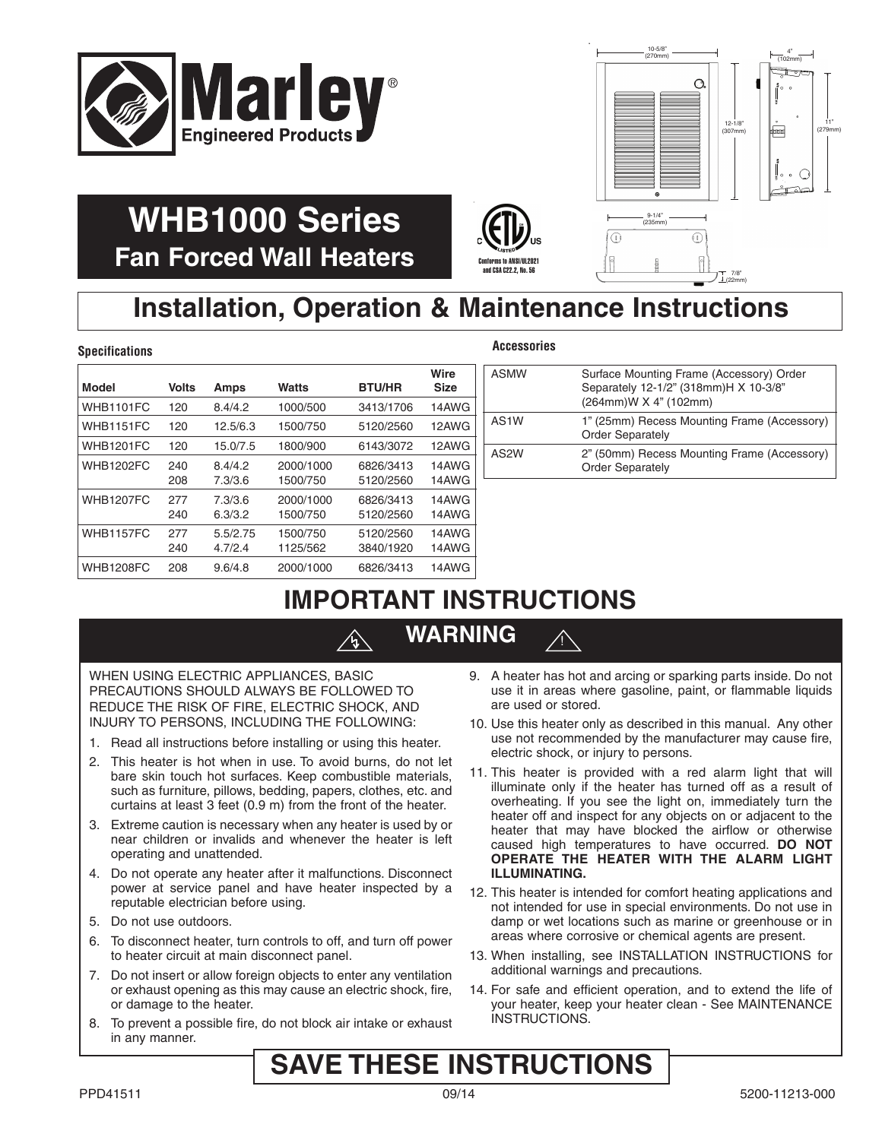



22mm

# **WHB1000 Series Fan Forced Wall Heaters**

# $\left(\bigoplus_{\text{Corforms } \text{ to } \text{ANSI/UL2021}}\right)_{\text{US}}$ and CSA C22.2, No. 56

# **Installation, Operation & Maintenance Instructions**

### **Specifications Accessories**

| Model            | <b>Volts</b> | Amps                | <b>Watts</b>          | <b>BTU/HR</b>          | Wire<br><b>Size</b> |
|------------------|--------------|---------------------|-----------------------|------------------------|---------------------|
| WHB1101FC        | 120          | 8.4/4.2             | 1000/500              | 3413/1706              | 14AWG               |
| WHB1151FC        | 120          | 12.5/6.3            | 1500/750              | 5120/2560              | 12AWG               |
| <b>WHB1201FC</b> | 120          | 15.0/7.5            | 1800/900              | 6143/3072              | 12AWG               |
| <b>WHB1202FC</b> | 240<br>208   | 8.4/4.2<br>7.3/3.6  | 2000/1000<br>1500/750 | 6826/3413<br>5120/2560 | 14AWG<br>14AWG      |
| <b>WHB1207FC</b> | 277<br>240   | 7.3/3.6<br>6.3/3.2  | 2000/1000<br>1500/750 | 6826/3413<br>5120/2560 | 14AWG<br>14AWG      |
| <b>WHB1157FC</b> | 277<br>240   | 5.5/2.75<br>4.7/2.4 | 1500/750<br>1125/562  | 5120/2560<br>3840/1920 | 14AWG<br>14AWG      |
| <b>WHB1208FC</b> | 208          | 9.6/4.8             | 2000/1000             | 6826/3413              | 14AWG               |

|  |  | ,,,,,,,,, |  |  |  |  |  |  |
|--|--|-----------|--|--|--|--|--|--|

!

| ASMW | Surface Mounting Frame (Accessory) Order<br>Separately 12-1/2" (318mm)H X 10-3/8"<br>(264mm) W X 4" (102mm) |
|------|-------------------------------------------------------------------------------------------------------------|
| AS1W | 1" (25mm) Recess Mounting Frame (Accessory)<br><b>Order Separately</b>                                      |
| AS2W | 2" (50mm) Recess Mounting Frame (Accessory)<br><b>Order Separately</b>                                      |

## **IMPORTANT INSTRUCTIONS**

## **WARNING**

 $\mathcal{A}$ 

WHEN USING ELECTRIC APPLIANCES, BASIC PRECAUTIONS SHOULD ALWAYS BE FOLLOWED TO REDUCE THE RISK OF FIRE, ELECTRIC SHOCK, AND INJURY TO PERSONS, INCLUDING THE FOLLOWING:

- 1. Read all instructions before installing or using this heater.
- 2. This heater is hot when in use. To avoid burns, do not let bare skin touch hot surfaces. Keep combustible materials, such as furniture, pillows, bedding, papers, clothes, etc. and curtains at least 3 feet (0.9 m) from the front of the heater.
- 3. Extreme caution is necessary when any heater is used by or near children or invalids and whenever the heater is left operating and unattended.
- 4. Do not operate any heater after it malfunctions. Disconnect power at service panel and have heater inspected by a reputable electrician before using.
- 5. Do not use outdoors.
- 6. To disconnect heater, turn controls to off, and turn off power to heater circuit at main disconnect panel.
- 7. Do not insert or allow foreign objects to enter any ventilation or exhaust opening as this may cause an electric shock, fire, or damage to the heater.
- 8. To prevent a possible fire, do not block air intake or exhaust in any manner.
- 9. A heater has hot and arcing or sparking parts inside. Do not use it in areas where gasoline, paint, or flammable liquids are used or stored.
- 10. Use this heater only as described in this manual. Any other use not recommended by the manufacturer may cause fire, electric shock, or injury to persons.
- 11. This heater is provided with a red alarm light that will illuminate only if the heater has turned off as a result of overheating. If you see the light on, immediately turn the heater off and inspect for any objects on or adjacent to the heater that may have blocked the airflow or otherwise caused high temperatures to have occurred. **DO NOT OPERATE THE HEATER WITH THE ALARM LIGHT ILLUMINATING.**
- 12. This heater is intended for comfort heating applications and not intended for use in special environments. Do not use in damp or wet locations such as marine or greenhouse or in areas where corrosive or chemical agents are present.
- 13. When installing, see INSTALLATION INSTRUCTIONS for additional warnings and precautions.
- 14. For safe and efficient operation, and to extend the life of your heater, keep your heater clean - See MAINTENANCE INSTRUCTIONS.

## **SAVE THESE INSTRUCTIONS**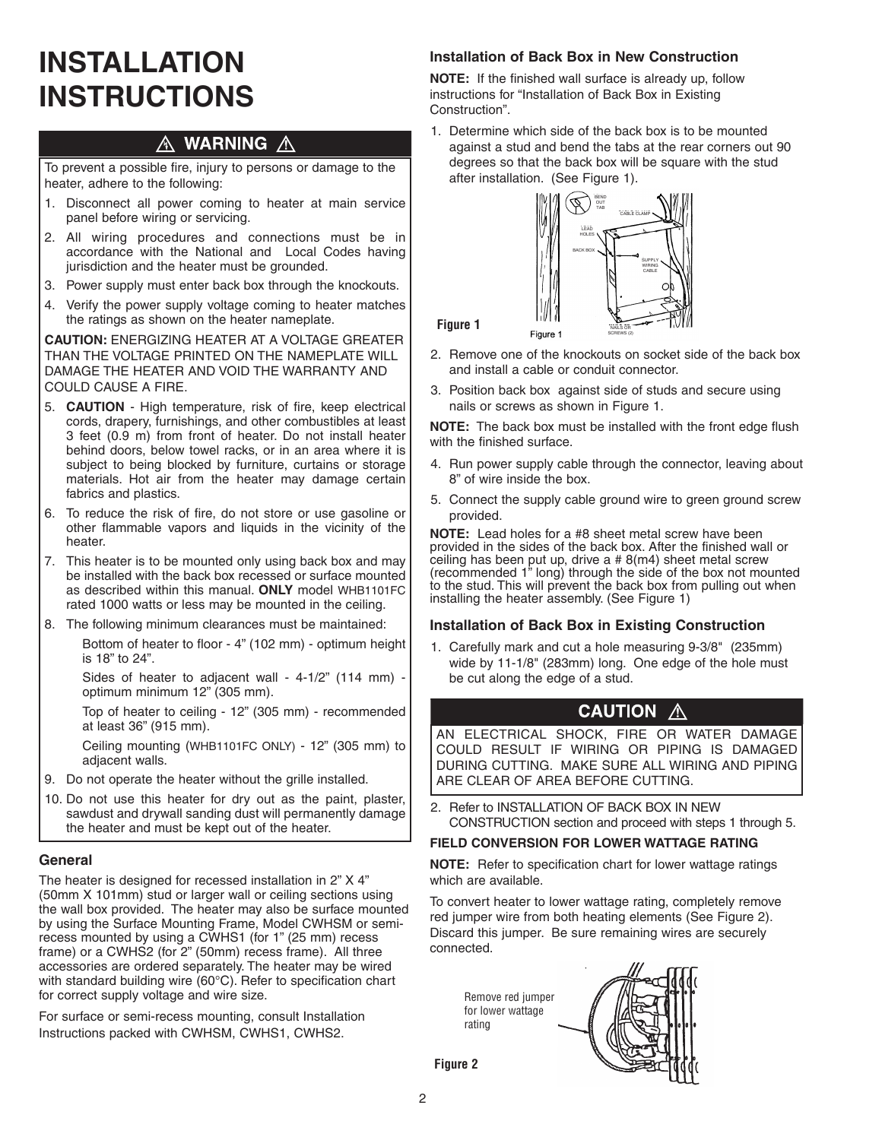# **INSTALLATION INSTRUCTIONS**

#### **WARNING A** Ж

To prevent a possible fire, injury to persons or damage to the heater, adhere to the following:

- 1. Disconnect all power coming to heater at main service panel before wiring or servicing.
- 2. All wiring procedures and connections must be in accordance with the National and Local Codes having jurisdiction and the heater must be grounded.
- 3. Power supply must enter back box through the knockouts.
- 4. Verify the power supply voltage coming to heater matches the ratings as shown on the heater nameplate.

**CAUTION:** ENERGIzING HEATER AT A VOLTAGE GREATER THAN THE VOLTAGE PRINTED ON THE NAMEPLATE WILL DAMAGE THE HEATER AND VOID THE WARRANTY AND COULD CAUSE A FIRE.

- 5. **CAUTION** High temperature, risk of fire, keep electrical cords, drapery, furnishings, and other combustibles at least 3 feet (0.9 m) from front of heater. Do not install heater behind doors, below towel racks, or in an area where it is subject to being blocked by furniture, curtains or storage materials. Hot air from the heater may damage certain fabrics and plastics.
- 6. To reduce the risk of fire, do not store or use gasoline or other flammable vapors and liquids in the vicinity of the heater.
- 7. This heater is to be mounted only using back box and may be installed with the back box recessed or surface mounted as described within this manual. **ONLY** model WHB1101FC rated 1000 watts or less may be mounted in the ceiling.
- 8. The following minimum clearances must be maintained:

Bottom of heater to floor - 4" (102 mm) - optimum height is 18" to 24".

Sides of heater to adjacent wall - 4-1/2" (114 mm) optimum minimum 12" (305 mm).

Top of heater to ceiling - 12" (305 mm) - recommended at least 36" (915 mm).

Ceiling mounting (WHB1101FC ONLY) - 12" (305 mm) to adjacent walls.

- 9. Do not operate the heater without the grille installed.
- 10. Do not use this heater for dry out as the paint, plaster, sawdust and drywall sanding dust will permanently damage the heater and must be kept out of the heater.

### **General**

The heater is designed for recessed installation in 2" X 4" (50mm X 101mm) stud or larger wall or ceiling sections using the wall box provided. The heater may also be surface mounted by using the Surface Mounting Frame, Model CWHSM or semirecess mounted by using a CWHS1 (for 1" (25 mm) recess frame) or a CWHS2 (for 2" (50mm) recess frame). All three accessories are ordered separately. The heater may be wired with standard building wire (60°C). Refer to specification chart for correct supply voltage and wire size.

For surface or semi-recess mounting, consult Installation Instructions packed with CWHSM, CWHS1, CWHS2.

### **Installation of Back Box in New Construction**

**NOTE:** If the finished wall surface is already up, follow instructions for "Installation of Back Box in Existing Construction".

1. Determine which side of the back box is to be mounted against a stud and bend the tabs at the rear corners out 90 degrees so that the back box will be square with the stud after installation. (See Figure 1).



**Figure 1**

- 2. Remove one of the knockouts on socket side of the back box and install a cable or conduit connector.
- 3. Position back box against side of studs and secure using nails or screws as shown in Figure 1.

**NOTE:** The back box must be installed with the front edge flush with the finished surface.

- 4. Run power supply cable through the connector, leaving about 8" of wire inside the box.
- 5. Connect the supply cable ground wire to green ground screw provided.

**NOTE:** Lead holes for a #8 sheet metal screw have been provided in the sides of the back box. After the finished wall or ceiling has been put up, drive a # 8(m4) sheet metal screw (recommended 1" long) through the side of the box not mounted to the stud. This will prevent the back box from pulling out when installing the heater assembly. (See Figure 1)

### **Installation of Back Box in Existing Construction**

1. Carefully mark and cut a hole measuring 9-3/8" (235mm) wide by 11-1/8" (283mm) long. One edge of the hole must be cut along the edge of a stud.

### **CAUTION A**

AN ELECTRICAL SHOCK, FIRE OR WATER DAMAGE COULD RESULT IF WIRING OR PIPING IS DAMAGED DURING CUTTING. MAKE SURE ALL WIRING AND PIPING ARE CLEAR OF AREA BEFORE CUTTING.

2. Refer to INSTALLATION OF BACK BOX IN NEW CONSTRUCTION section and proceed with steps 1 through 5.

### **FIELD CONVERSION FOR LOWER WATTAGE RATING**

**NOTE:** Refer to specification chart for lower wattage ratings which are available.

To convert heater to lower wattage rating, completely remove red jumper wire from both heating elements (See Figure 2). Discard this jumper. Be sure remaining wires are securely connected.

Remove red jumper for lower wattage rating



**Figure 2**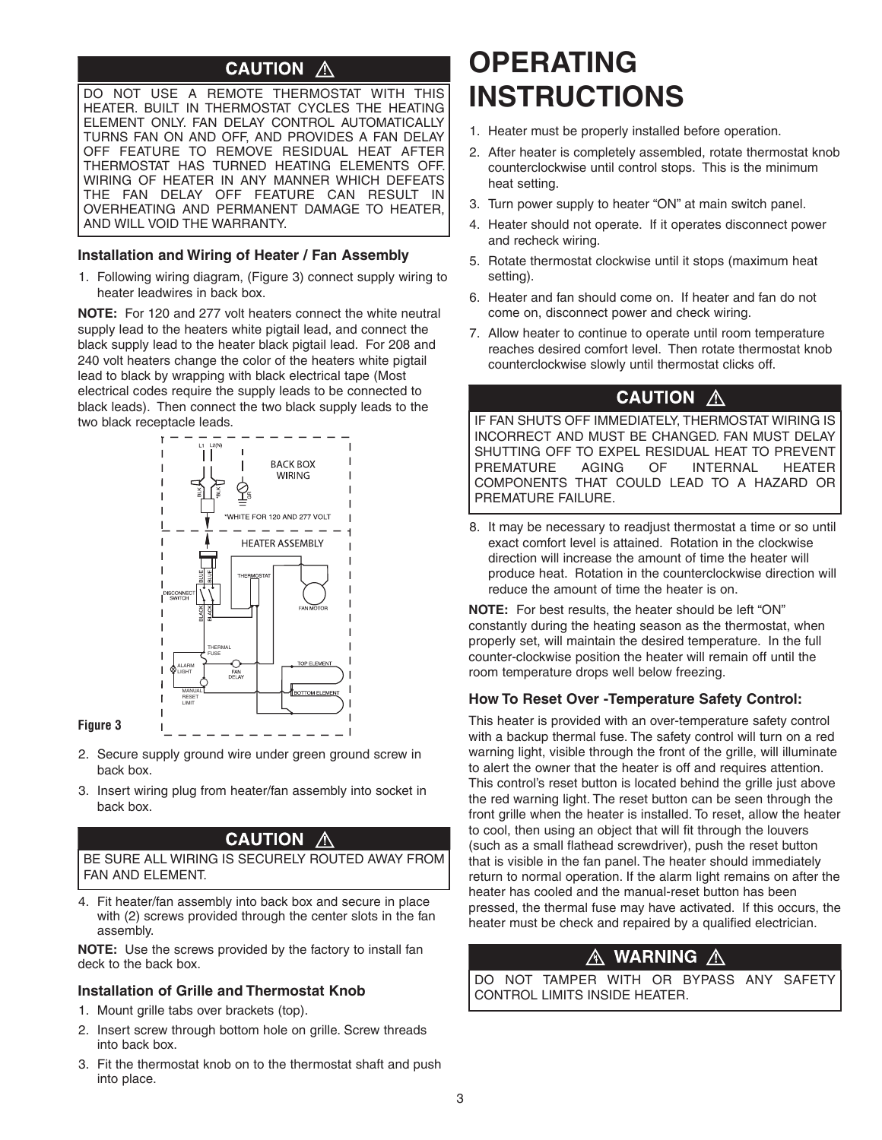#### **CAUTION**  $\bigwedge$

DO NOT USE A REMOTE THERMOSTAT WITH THIS HEATER. BUILT IN THERMOSTAT CYCLES THE HEATING ELEMENT ONLY. FAN DELAY CONTROL AUTOMATICALLY TURNS FAN ON AND OFF, AND PROVIDES A FAN DELAY OFF FEATURE TO REMOVE RESIDUAL HEAT AFTER THERMOSTAT HAS TURNED HEATING ELEMENTS OFF. WIRING OF HEATER IN ANY MANNER WHICH DEFEATS THE FAN DELAY OFF FEATURE CAN RESULT IN OVERHEATING AND PERMANENT DAMAGE TO HEATER, AND WILL VOID THE WARRANTY.

#### **Installation and Wiring of Heater / Fan Assembly**

1. Following wiring diagram, (Figure 3) connect supply wiring to heater leadwires in back box.

**NOTE:** For 120 and 277 volt heaters connect the white neutral supply lead to the heaters white pigtail lead, and connect the black supply lead to the heater black pigtail lead. For 208 and 240 volt heaters change the color of the heaters white pigtail lead to black by wrapping with black electrical tape (Most electrical codes require the supply leads to be connected to black leads). Then connect the two black supply leads to the two black receptacle leads.



#### **Figure 3**

- 2. Secure supply ground wire under green ground screw in back box.
- 3. Insert wiring plug from heater/fan assembly into socket in back box.

### **CAUTION A**

BE SURE ALL WIRING IS SECURELY ROUTED AWAY FROM FAN AND ELEMENT.

4. Fit heater/fan assembly into back box and secure in place with (2) screws provided through the center slots in the fan assembly.

**NOTE:** Use the screws provided by the factory to install fan deck to the back box.

### **Installation of Grille and Thermostat Knob**

- 1. Mount grille tabs over brackets (top).
- 2. Insert screw through bottom hole on grille. Screw threads into back box.
- 3. Fit the thermostat knob on to the thermostat shaft and push into place.

## **OPERATING INSTRUCTIONS**

- 1. Heater must be properly installed before operation.
- 2. After heater is completely assembled, rotate thermostat knob counterclockwise until control stops. This is the minimum heat setting.
- 3. Turn power supply to heater "ON" at main switch panel.
- 4. Heater should not operate. If it operates disconnect power and recheck wiring.
- 5. Rotate thermostat clockwise until it stops (maximum heat setting).
- 6. Heater and fan should come on. If heater and fan do not come on, disconnect power and check wiring.
- 7. Allow heater to continue to operate until room temperature reaches desired comfort level. Then rotate thermostat knob counterclockwise slowly until thermostat clicks off.

### **CAUTION A**

IF FAN SHUTS OFF IMMEDIATELY, THERMOSTAT WIRING IS INCORRECT AND MUST BE CHANGED. FAN MUST DELAY SHUTTING OFF TO EXPEL RESIDUAL HEAT TO PREVENT PREMATURE AGING OF INTERNAL HEATER COMPONENTS THAT COULD LEAD TO A HAzARD OR PREMATURE FAILURE.

8. It may be necessary to readjust thermostat a time or so until exact comfort level is attained. Rotation in the clockwise direction will increase the amount of time the heater will produce heat. Rotation in the counterclockwise direction will reduce the amount of time the heater is on.

**NOTE:** For best results, the heater should be left "ON" constantly during the heating season as the thermostat, when properly set, will maintain the desired temperature. In the full counter-clockwise position the heater will remain off until the room temperature drops well below freezing.

#### **How To Reset Over -Temperature Safety Control:**

This heater is provided with an over-temperature safety control with a backup thermal fuse. The safety control will turn on a red warning light, visible through the front of the grille, will illuminate to alert the owner that the heater is off and requires attention. This control's reset button is located behind the grille just above the red warning light. The reset button can be seen through the front grille when the heater is installed. To reset, allow the heater to cool, then using an object that will fit through the louvers (such as a small flathead screwdriver), push the reset button that is visible in the fan panel. The heater should immediately return to normal operation. If the alarm light remains on after the heater has cooled and the manual-reset button has been pressed, the thermal fuse may have activated. If this occurs, the heater must be check and repaired by a qualified electrician.

#### **WARNING** A  $\mathbb A$  .

DO NOT TAMPER WITH OR BYPASS ANY SAFETY CONTROL LIMITS INSIDE HEATER.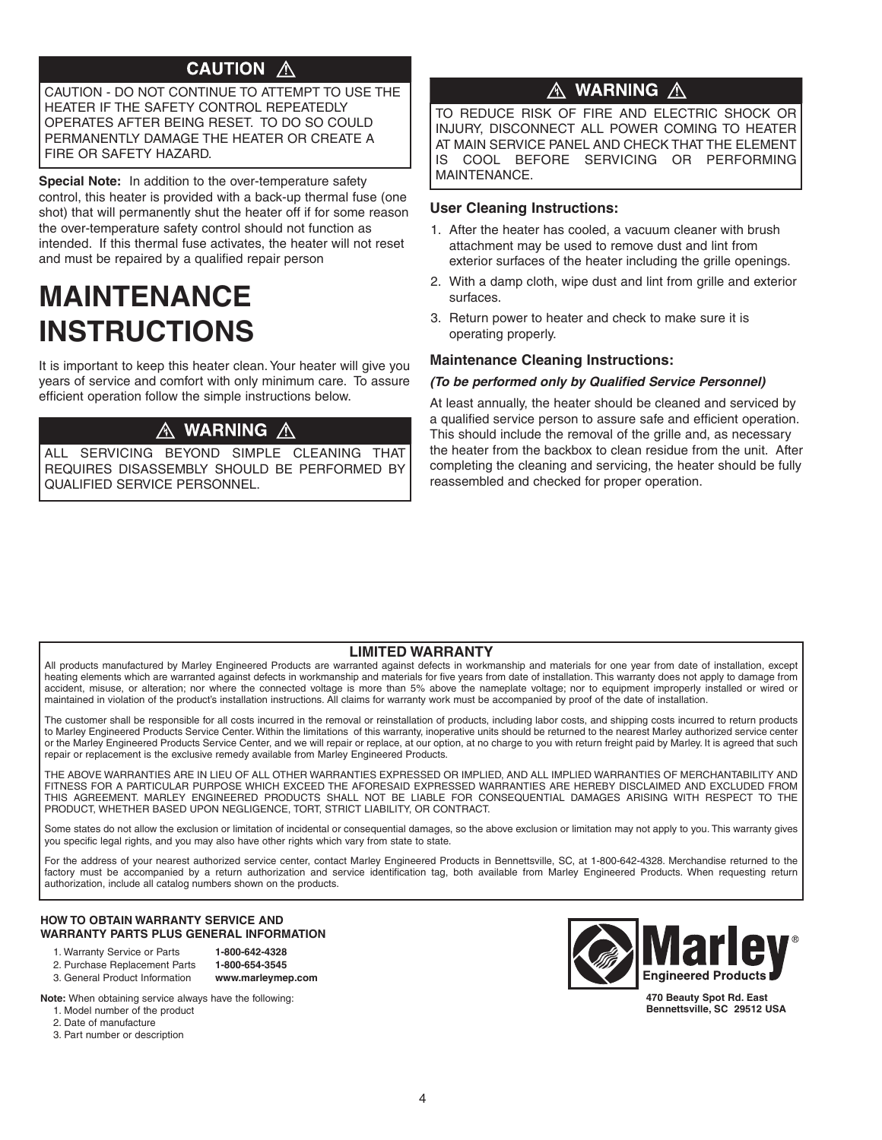### **CAUTION A**

CAUTION - DO NOT CONTINUE TO ATTEMPT TO USE THE HEATER IF THE SAFETY CONTROL REPEATEDLY OPERATES AFTER BEING RESET. TO DO SO COULD PERMANENTLY DAMAGE THE HEATER OR CREATE A FIRE OR SAFETY HAzARD.

**Special Note:** In addition to the over-temperature safety control, this heater is provided with a back-up thermal fuse (one shot) that will permanently shut the heater off if for some reason the over-temperature safety control should not function as intended. If this thermal fuse activates, the heater will not reset and must be repaired by a qualified repair person

# **MAINTENANCE INSTRUCTIONS**

It is important to keep this heater clean.Your heater will give you years of service and comfort with only minimum care. To assure efficient operation follow the simple instructions below.

### ${\mathbb A}$  warning  ${\mathbb A}$

ALL SERVICING BEYOND SIMPLE CLEANING THAT REQUIRES DISASSEMBLY SHOULD BE PERFORMED BY QUALIFIED SERVICE PERSONNEL.

## A WARNING A

TO REDUCE RISK OF FIRE AND ELECTRIC SHOCK OR INJURY, DISCONNECT ALL POWER COMING TO HEATER AT MAIN SERVICE PANEL AND CHECK THAT THE ELEMENT IS COOL BEFORE SERVICING OR PERFORMING MAINTENANCE.

### **User Cleaning Instructions:**

- 1. After the heater has cooled, a vacuum cleaner with brush attachment may be used to remove dust and lint from exterior surfaces of the heater including the grille openings.
- 2. With a damp cloth, wipe dust and lint from grille and exterior surfaces.
- 3. Return power to heater and check to make sure it is operating properly.

### **Maintenance Cleaning Instructions:**

#### **(To be performed only by Qualified Service Personnel)**

At least annually, the heater should be cleaned and serviced by a qualified service person to assure safe and efficient operation. This should include the removal of the grille and, as necessary the heater from the backbox to clean residue from the unit. After completing the cleaning and servicing, the heater should be fully reassembled and checked for proper operation.

### **LIMITED WARRANTY**

All products manufactured by Marley Engineered Products are warranted against defects in workmanship and materials for one year from date of installation, except heating elements which are warranted against defects in workmanship and materials for five years from date of installation. This warranty does not apply to damage from accident, misuse, or alteration; nor where the connected voltage is more than 5% above the nameplate voltage; nor to equipment improperly installed or wired or maintained in violation of the product's installation instructions. All claims for warranty work must be accompanied by proof of the date of installation.

The customer shall be responsible for all costs incurred in the removal or reinstallation of products, including labor costs, and shipping costs incurred to return products to Marley Engineered Products Service Center. Within the limitations of this warranty, inoperative units should be returned to the nearest Marley authorized service center or the Marley Engineered Products Service Center, and we will repair or replace, at our option, at no charge to you with return freight paid by Marley. It is agreed that such repair or replacement is the exclusive remedy available from Marley Engineered Products.

THE ABOVE WARRANTIES ARE IN LIEU OF ALL OTHER WARRANTIES EXPRESSED OR IMPLIED, AND ALL IMPLIED WARRANTIES OF MERCHANTABILITY AND FITNESS FOR A PARTICULAR PURPOSE WHICH EXCEED THE AFORESAID EXPRESSED WARRANTIES ARE HEREBY DISCLAIMED AND EXCLUDED FROM THIS AGREEMENT. MARLEY ENGINEERED PRODUCTS SHALL NOT BE LIABLE FOR CONSEQUENTIAL DAMAGES ARISING WITH RESPECT TO THE PRODUCT, WHETHER BASED UPON NEGLIGENCE, TORT, STRICT LIABILITY, OR CONTRACT.

Some states do not allow the exclusion or limitation of incidental or consequential damages, so the above exclusion or limitation may not apply to you. This warranty gives you specific legal rights, and you may also have other rights which vary from state to state.

For the address of your nearest authorized service center, contact Marley Engineered Products in Bennettsville, SC, at 1-800-642-4328. Merchandise returned to the factory must be accompanied by a return authorization and service identification tag, both available from Marley Engineered Products. When requesting return authorization, include all catalog numbers shown on the products.

#### **HOW TO OBTAIN WARRANTY SERVICE AND WARRANTY PARTS PLUS GENERAL INFORMATION**

- 1. Warranty Service or Parts **1-800-642-4328**
- 2. Purchase Replacement Parts **1-800-654-3545** 3. General Product Information **www.marleymep.com**

**Note:** When obtaining service always have the following:

- 1. Model number of the product
- 2. Date of manufacture
- 3. Part number or description



**470 Beauty Spot Rd. East Bennettsville, SC 29512 USA**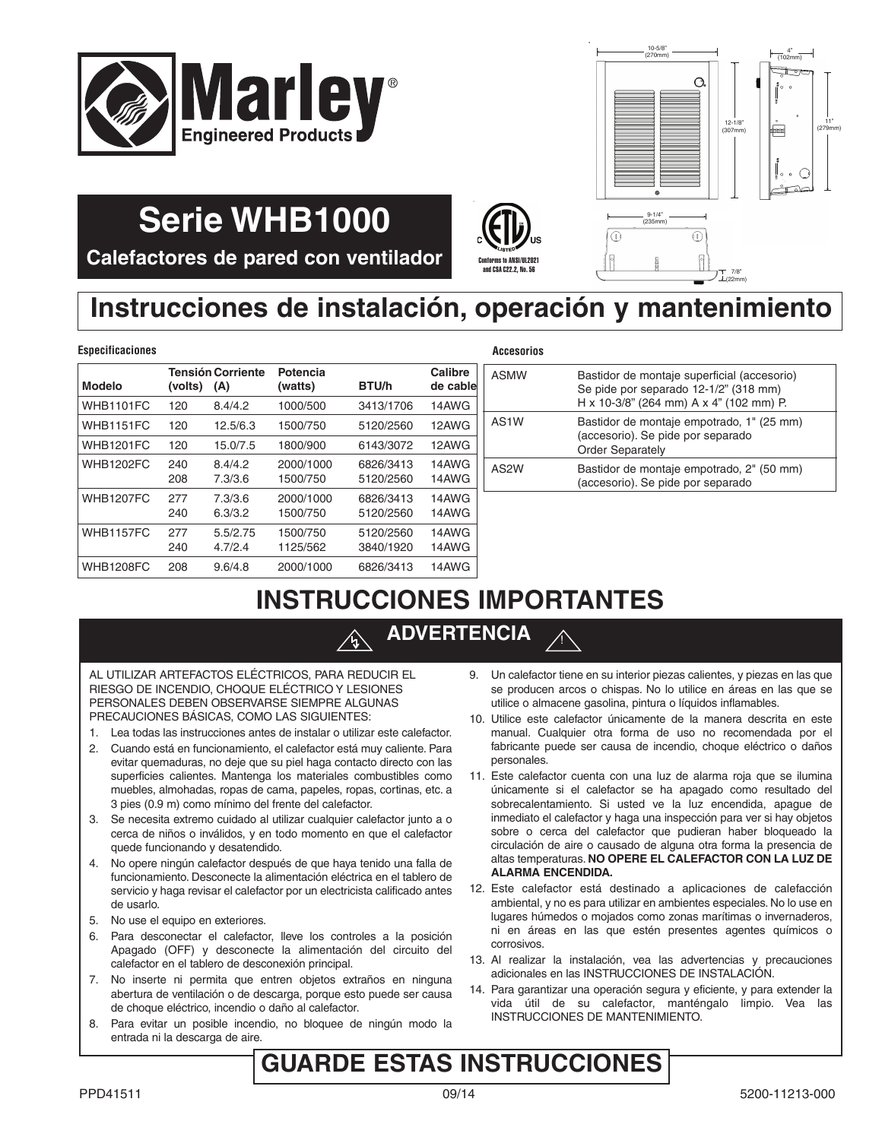



7/8 22mm

**Calefactores de pared con ventilador**

**Serie WHB1000**

# $\left(\bigoplus_{\zeta_{\mathcal{S}r\in\mathcal{S}}} \bigoplus_{\zeta_{\mathcal{S}r\in\mathcal{S}}} J_{\zeta_{\mathcal{S}}}$ and CSA C22.2, No. 56

# **Instrucciones de instalación, operación y mantenimiento**

#### $E$ specificaciones

| <b>Modelo</b>    | (volts)    | <b>Tensión Corriente</b><br>(A) | Potencia<br>(watts)   | BTU/h                  | Calibre<br>de cable |
|------------------|------------|---------------------------------|-----------------------|------------------------|---------------------|
| WHB1101FC        | 120        | 8.4/4.2                         | 1000/500              | 3413/1706              | 14AWG               |
| WHB1151FC        | 120        | 12.5/6.3                        | 1500/750              | 5120/2560              | 12AWG               |
| <b>WHB1201FC</b> | 120        | 15.0/7.5                        | 1800/900              | 6143/3072              | 12AWG               |
| <b>WHB1202FC</b> | 240<br>208 | 8.4/4.2<br>7.3/3.6              | 2000/1000<br>1500/750 | 6826/3413<br>5120/2560 | 14AWG<br>14AWG      |
| <b>WHB1207FC</b> | 277<br>240 | 7.3/3.6<br>6.3/3.2              | 2000/1000<br>1500/750 | 6826/3413<br>5120/2560 | 14AWG<br>14AWG      |
| <b>WHB1157FC</b> | 277<br>240 | 5.5/2.75<br>4.7/2.4             | 1500/750<br>1125/562  | 5120/2560<br>3840/1920 | 14AWG<br>14AWG      |
| <b>WHB1208FC</b> | 208        | 9.6/4.8                         | 2000/1000             | 6826/3413              | 14AWG               |

| Accesorios |                                                                                                                                 |
|------------|---------------------------------------------------------------------------------------------------------------------------------|
| ASMW       | Bastidor de montaje superficial (accesorio)<br>Se pide por separado 12-1/2" (318 mm)<br>H x 10-3/8" (264 mm) A x 4" (102 mm) P. |
| AS1W       | Bastidor de montaje empotrado, 1" (25 mm)<br>(accesorio). Se pide por separado<br><b>Order Separately</b>                       |
| AS2W       | Bastidor de montaje empotrado, 2" (50 mm)<br>(accesorio). Se pide por separado                                                  |
|            |                                                                                                                                 |

## **INSTRUCCIONES IMPORTANTES**

## **ADVERTENCIA**

AL UTILIzAR ARTEFACTOS ELÉCTRICOS, PARA REDUCIR EL RIESGO DE INCENDIO, CHOQUE ELÉCTRICO Y LESIONES PERSONALES DEBEN OBSERVARSE SIEMPRE ALGUNAS PRECAUCIONES BÁSICAS, COMO LAS SIGUIENTES:

- 1. Lea todas las instrucciones antes de instalar o utilizar este calefactor.
- 2. Cuando está en funcionamiento, el calefactor está muy caliente. Para evitar quemaduras, no deje que su piel haga contacto directo con las superficies calientes. Mantenga los materiales combustibles como muebles, almohadas, ropas de cama, papeles, ropas, cortinas, etc. a 3 pies (0.9 m) como mínimo del frente del calefactor.
- 3. Se necesita extremo cuidado al utilizar cualquier calefactor junto a o cerca de niños o inválidos, y en todo momento en que el calefactor quede funcionando y desatendido.
- 4. No opere ningún calefactor después de que haya tenido una falla de funcionamiento. Desconecte la alimentación eléctrica en el tablero de servicio y haga revisar el calefactor por un electricista calificado antes de usarlo.
- 5. No use el equipo en exteriores.
- 6. Para desconectar el calefactor, lleve los controles a la posición Apagado (OFF) y desconecte la alimentación del circuito del calefactor en el tablero de desconexión principal.
- 7. No inserte ni permita que entren objetos extraños en ninguna abertura de ventilación o de descarga, porque esto puede ser causa de choque eléctrico, incendio o daño al calefactor.
- 8. Para evitar un posible incendio, no bloquee de ningún modo la entrada ni la descarga de aire.

9. Un calefactor tiene en su interior piezas calientes, y piezas en las que se producen arcos o chispas. No lo utilice en áreas en las que se utilice o almacene gasolina, pintura o líquidos inflamables.

!

- 10. Utilice este calefactor únicamente de la manera descrita en este manual. Cualquier otra forma de uso no recomendada por el fabricante puede ser causa de incendio, choque eléctrico o daños personales.
- 11. Este calefactor cuenta con una luz de alarma roja que se ilumina únicamente si el calefactor se ha apagado como resultado del sobrecalentamiento. Si usted ve la luz encendida, apague de inmediato el calefactor y haga una inspección para ver si hay objetos sobre o cerca del calefactor que pudieran haber bloqueado la circulación de aire o causado de alguna otra forma la presencia de altas temperaturas. **NO OPERE EL CALEFACTOR CON LA LUZ DE ALARMA ENCENDIDA.**
- 12. Este calefactor está destinado a aplicaciones de calefacción ambiental, y no es para utilizar en ambientes especiales. No lo use en lugares húmedos o mojados como zonas marítimas o invernaderos, ni en áreas en las que estén presentes agentes químicos o corrosivos.
- 13. Al realizar la instalación, vea las advertencias y precauciones adicionales en las INSTRUCCIONES DE INSTALACIÓN.
- 14. Para garantizar una operación segura y eficiente, y para extender la vida útil de su calefactor, manténgalo limpio. Vea las INSTRUCCIONES DE MANTENIMIENTO.

## **GUARDE ESTAS INSTRUCCIONES**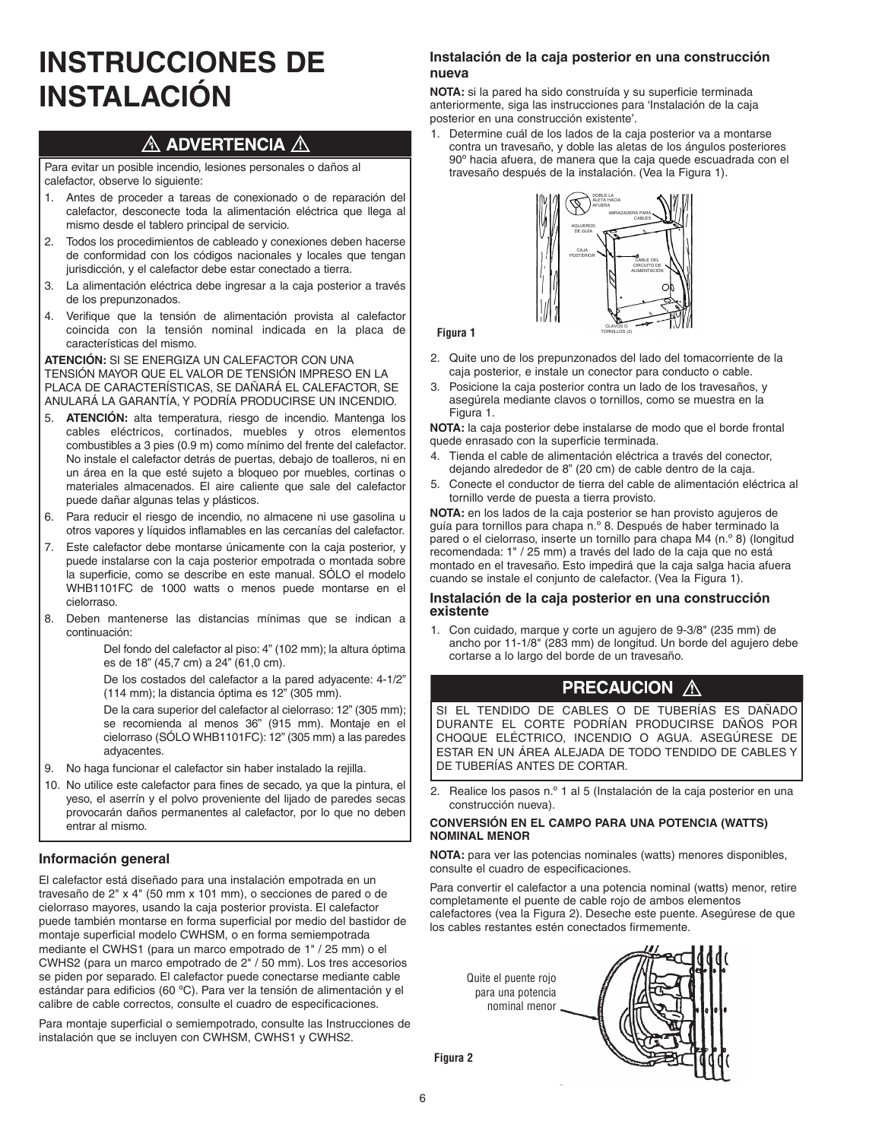# **INSTRUCCIONES DE INSTALACIÓN**

### $\land$  ADVERTENCIA  $\land$

Para evitar un posible incendio, lesiones personales o daños al calefactor, observe lo siguiente:

- 1. Antes de proceder a tareas de conexionado o de reparación del calefactor, desconecte toda la alimentación eléctrica que llega al mismo desde el tablero principal de servicio.
- 2. Todos los procedimientos de cableado y conexiones deben hacerse de conformidad con los códigos nacionales y locales que tengan jurisdicción, y el calefactor debe estar conectado a tierra.
- 3. La alimentación eléctrica debe ingresar a la caja posterior a través de los prepunzonados.
- 4. Verifique que la tensión de alimentación provista al calefactor coincida con la tensión nominal indicada en la placa de características del mismo.

**ATENCIÓN:** SI SE ENERGIzA UN CALEFACTOR CON UNA TENSIÓN MAYOR QUE EL VALOR DE TENSIÓN IMPRESO EN LA PLACA DE CARACTERÍSTICAS, SE DAÑARÁ EL CALEFACTOR, SE ANULARÁ LA GARANTÍA, Y PODRÍA PRODUCIRSE UN INCENDIO.

- 5. **ATENCIÓN:** alta temperatura, riesgo de incendio. Mantenga los cables eléctricos, cortinados, muebles y otros elementos combustibles a 3 pies (0.9 m) como mínimo del frente del calefactor. No instale el calefactor detrás de puertas, debajo de toalleros, ni en un área en la que esté sujeto a bloqueo por muebles, cortinas o materiales almacenados. El aire caliente que sale del calefactor puede dañar algunas telas y plásticos.
- 6. Para reducir el riesgo de incendio, no almacene ni use gasolina u otros vapores y líquidos inflamables en las cercanías del calefactor.
- 7. Este calefactor debe montarse únicamente con la caja posterior, y puede instalarse con la caja posterior empotrada o montada sobre la superficie, como se describe en este manual. SÓLO el modelo WHB1101FC de 1000 watts o menos puede montarse en el cielorraso.
- 8. Deben mantenerse las distancias mínimas que se indican a continuación:

Del fondo del calefactor al piso: 4" (102 mm); la altura óptima es de 18" (45,7 cm) a 24" (61,0 cm).

De los costados del calefactor a la pared adyacente: 4-1/2" (114 mm); la distancia óptima es 12" (305 mm).

De la cara superior del calefactor al cielorraso: 12" (305 mm); se recomienda al menos 36" (915 mm). Montaje en el cielorraso (SÓLO WHB1101FC): 12" (305 mm) a las paredes adyacentes.

- 9. No haga funcionar el calefactor sin haber instalado la rejilla.
- 10. No utilice este calefactor para fines de secado, ya que la pintura, el yeso, el aserrín y el polvo proveniente del lijado de paredes secas provocarán daños permanentes al calefactor, por lo que no deben entrar al mismo.

### **Información general**

El calefactor está diseñado para una instalación empotrada en un travesaño de 2" x 4" (50 mm x 101 mm), o secciones de pared o de cielorraso mayores, usando la caja posterior provista. El calefactor puede también montarse en forma superficial por medio del bastidor de montaje superficial modelo CWHSM, o en forma semiempotrada mediante el CWHS1 (para un marco empotrado de 1" / 25 mm) o el CWHS2 (para un marco empotrado de 2" / 50 mm). Los tres accesorios se piden por separado. El calefactor puede conectarse mediante cable estándar para edificios (60 ºC). Para ver la tensión de alimentación y el calibre de cable correctos, consulte el cuadro de especificaciones.

Para montaje superficial o semiempotrado, consulte las Instrucciones de instalación que se incluyen con CWHSM, CWHS1 y CWHS2.

#### **Instalación de la caja posterior en una construcción nueva**

**NOTA:** si la pared ha sido construída y su superficie terminada anteriormente, siga las instrucciones para 'Instalación de la caja posterior en una construcción existente'.

1. Determine cuál de los lados de la caja posterior va a montarse contra un travesaño, y doble las aletas de los ángulos posteriores 90º hacia afuera, de manera que la caja quede escuadrada con el travesaño después de la instalación. (Vea la Figura 1).



**Figura 1**

- 2. Quite uno de los prepunzonados del lado del tomacorriente de la caja posterior, e instale un conector para conducto o cable.
- 3. Posicione la caja posterior contra un lado de los travesaños, y asegúrela mediante clavos o tornillos, como se muestra en la Figura 1.

**NOTA:** la caja posterior debe instalarse de modo que el borde frontal quede enrasado con la superficie terminada.

- 4. Tienda el cable de alimentación eléctrica a través del conector, dejando alrededor de 8" (20 cm) de cable dentro de la caja.
- 5. Conecte el conductor de tierra del cable de alimentación eléctrica al tornillo verde de puesta a tierra provisto.

**NOTA:** en los lados de la caja posterior se han provisto agujeros de guía para tornillos para chapa n.º 8. Después de haber terminado la pared o el cielorraso, inserte un tornillo para chapa M4 (n.º 8) (longitud recomendada: 1" / 25 mm) a través del lado de la caja que no está montado en el travesaño. Esto impedirá que la caja salga hacia afuera cuando se instale el conjunto de calefactor. (Vea la Figura 1).

#### **Instalación de la caja posterior en una construcción existente**

1. Con cuidado, marque y corte un agujero de 9-3/8" (235 mm) de ancho por 11-1/8" (283 mm) de longitud. Un borde del agujero debe cortarse a lo largo del borde de un travesaño.

### **PRECAUCION A**

SI EL TENDIDO DE CABLES O DE TUBERÍAS ES DAÑADO DURANTE EL CORTE PODRÍAN PRODUCIRSE DAÑOS POR CHOQUE ELÉCTRICO, INCENDIO O AGUA. ASEGÚRESE DE ESTAR EN UN ÁREA ALEJADA DE TODO TENDIDO DE CABLES Y DE TUBERÍAS ANTES DE CORTAR.

2. Realice los pasos n.º 1 al 5 (Instalación de la caja posterior en una construcción nueva).

#### **CONVERSIÓN EN EL CAMPO PARA UNA POTENCIA (WATTS) NOMINAL MENOR**

**NOTA:** para ver las potencias nominales (watts) menores disponibles, consulte el cuadro de especificaciones.

Para convertir el calefactor a una potencia nominal (watts) menor, retire completamente el puente de cable rojo de ambos elementos calefactores (vea la Figura 2). Deseche este puente. Asegúrese de que los cables restantes estén conectados firmemente.

> Quite el puente rojo para una potencia nominal menor



**Figura 2**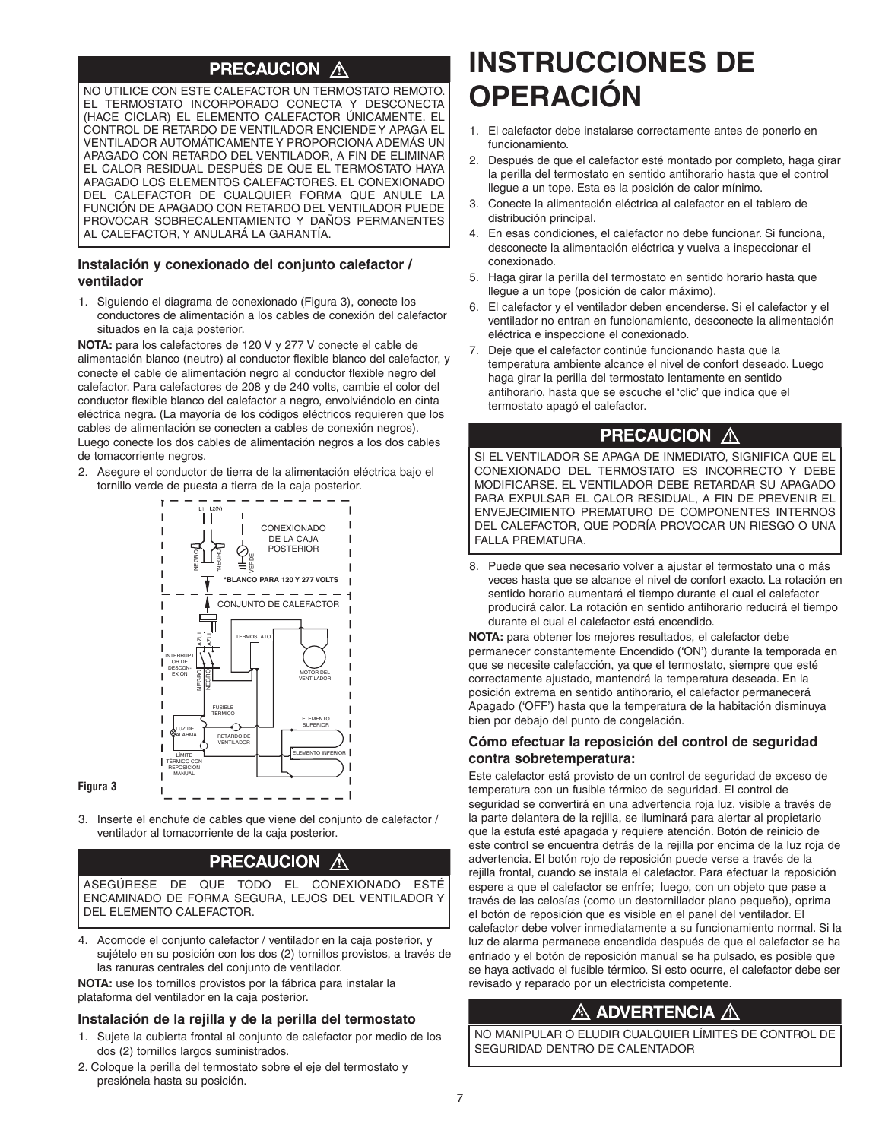### **PRECAUCION A**

NO UTILICE CON ESTE CALEFACTOR UN TERMOSTATO REMOTO. EL TERMOSTATO INCORPORADO CONECTA Y DESCONECTA (HACE CICLAR) EL ELEMENTO CALEFACTOR ÚNICAMENTE. EL CONTROL DE RETARDO DE VENTILADOR ENCIENDE Y APAGA EL VENTILADOR AUTOMÁTICAMENTE Y PROPORCIONA ADEMÁS UN APAGADO CON RETARDO DEL VENTILADOR, A FIN DE ELIMINAR EL CALOR RESIDUAL DESPUÉS DE QUE EL TERMOSTATO HAYA APAGADO LOS ELEMENTOS CALEFACTORES. EL CONEXIONADO DEL CALEFACTOR DE CUALQUIER FORMA QUE ANULE LA FUNCIÓN DE APAGADO CON RETARDO DEL VENTILADOR PUEDE PROVOCAR SOBRECALENTAMIENTO Y DAÑOS PERMANENTES AL CALEFACTOR, Y ANULARÁ LA GARANTÍA.

#### **Instalación y conexionado del conjunto calefactor / ventilador**

1. Siguiendo el diagrama de conexionado (Figura 3), conecte los conductores de alimentación a los cables de conexión del calefactor situados en la caja posterior.

**NOTA:** para los calefactores de 120 V y 277 V conecte el cable de alimentación blanco (neutro) al conductor flexible blanco del calefactor, y conecte el cable de alimentación negro al conductor flexible negro del calefactor. Para calefactores de 208 y de 240 volts, cambie el color del conductor flexible blanco del calefactor a negro, envolviéndolo en cinta eléctrica negra. (La mayoría de los códigos eléctricos requieren que los cables de alimentación se conecten a cables de conexión negros). Luego conecte los dos cables de alimentación negros a los dos cables de tomacorriente negros.

2. Asegure el conductor de tierra de la alimentación eléctrica bajo el tornillo verde de puesta a tierra de la caja posterior.



3. Inserte el enchufe de cables que viene del conjunto de calefactor / ventilador al tomacorriente de la caja posterior.

**Figura 3**

### **PRECAUCION A**

ASEGÚRESE DE QUE TODO EL CONEXIONADO ESTÉ ENCAMINADO DE FORMA SEGURA, LEJOS DEL VENTILADOR Y DEL ELEMENTO CALEFACTOR.

4. Acomode el conjunto calefactor / ventilador en la caja posterior, y sujételo en su posición con los dos (2) tornillos provistos, a través de las ranuras centrales del conjunto de ventilador.

**NOTA:** use los tornillos provistos por la fábrica para instalar la plataforma del ventilador en la caja posterior.

#### **Instalación de la rejilla y de la perilla del termostato**

- 1. Sujete la cubierta frontal al conjunto de calefactor por medio de los dos (2) tornillos largos suministrados.
- 2. Coloque la perilla del termostato sobre el eje del termostato y presiónela hasta su posición.

# **INSTRUCCIONES DE OPERACIÓN**

- 1. El calefactor debe instalarse correctamente antes de ponerlo en funcionamiento.
- 2. Después de que el calefactor esté montado por completo, haga girar la perilla del termostato en sentido antihorario hasta que el control llegue a un tope. Esta es la posición de calor mínimo.
- 3. Conecte la alimentación eléctrica al calefactor en el tablero de distribución principal.
- 4. En esas condiciones, el calefactor no debe funcionar. Si funciona, desconecte la alimentación eléctrica y vuelva a inspeccionar el conexionado.
- 5. Haga girar la perilla del termostato en sentido horario hasta que llegue a un tope (posición de calor máximo).
- 6. El calefactor y el ventilador deben encenderse. Si el calefactor y el ventilador no entran en funcionamiento, desconecte la alimentación eléctrica e inspeccione el conexionado.
- 7. Deje que el calefactor continúe funcionando hasta que la temperatura ambiente alcance el nivel de confort deseado. Luego haga girar la perilla del termostato lentamente en sentido antihorario, hasta que se escuche el 'clic' que indica que el termostato apagó el calefactor.

#### **PRECAUCION** ⚠

SI EL VENTILADOR SE APAGA DE INMEDIATO, SIGNIFICA QUE EL CONEXIONADO DEL TERMOSTATO ES INCORRECTO Y DEBE MODIFICARSE. EL VENTILADOR DEBE RETARDAR SU APAGADO PARA EXPULSAR EL CALOR RESIDUAL, A FIN DE PREVENIR EL ENVEJECIMIENTO PREMATURO DE COMPONENTES INTERNOS DEL CALEFACTOR, QUE PODRÍA PROVOCAR UN RIESGO O UNA FALLA PREMATURA.

8. Puede que sea necesario volver a ajustar el termostato una o más veces hasta que se alcance el nivel de confort exacto. La rotación en sentido horario aumentará el tiempo durante el cual el calefactor producirá calor. La rotación en sentido antihorario reducirá el tiempo durante el cual el calefactor está encendido.

**NOTA:** para obtener los mejores resultados, el calefactor debe permanecer constantemente Encendido ('ON') durante la temporada en que se necesite calefacción, ya que el termostato, siempre que esté correctamente ajustado, mantendrá la temperatura deseada. En la posición extrema en sentido antihorario, el calefactor permanecerá Apagado ('OFF') hasta que la temperatura de la habitación disminuya bien por debajo del punto de congelación.

#### **Cómo efectuar la reposición del control de seguridad contra sobretemperatura:**

Este calefactor está provisto de un control de seguridad de exceso de temperatura con un fusible térmico de seguridad. El control de seguridad se convertirá en una advertencia roja luz, visible a través de la parte delantera de la rejilla, se iluminará para alertar al propietario que la estufa esté apagada y requiere atención. Botón de reinicio de este control se encuentra detrás de la rejilla por encima de la luz roja de advertencia. El botón rojo de reposición puede verse a través de la rejilla frontal, cuando se instala el calefactor. Para efectuar la reposición espere a que el calefactor se enfríe; luego, con un objeto que pase a través de las celosías (como un destornillador plano pequeño), oprima el botón de reposición que es visible en el panel del ventilador. El calefactor debe volver inmediatamente a su funcionamiento normal. Si la luz de alarma permanece encendida después de que el calefactor se ha enfriado y el botón de reposición manual se ha pulsado, es posible que se haya activado el fusible térmico. Si esto ocurre, el calefactor debe ser revisado y reparado por un electricista competente.

### $\mathbb A$  advertencia  $\mathbb A$

NO MANIPULAR O ELUDIR CUALQUIER LÍMITES DE CONTROL DE SEGURIDAD DENTRO DE CALENTADOR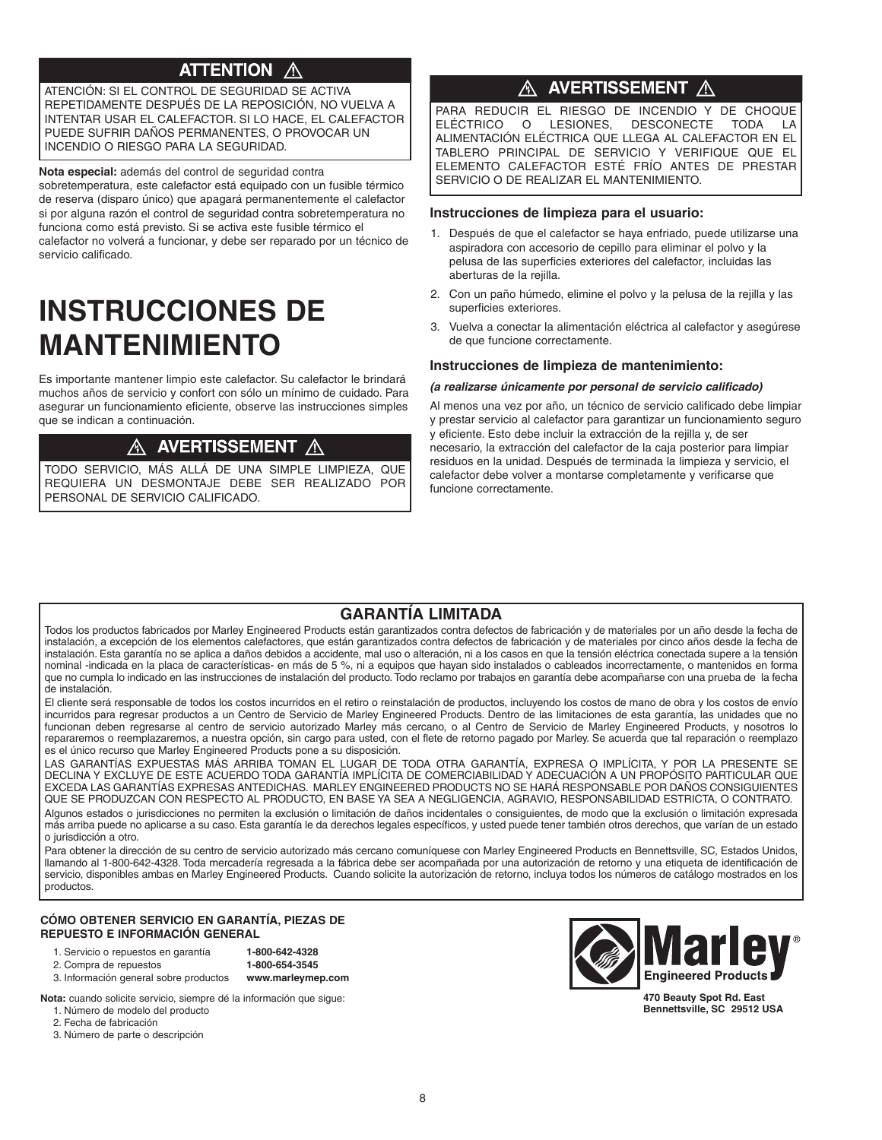## **ATTENTION**

ATENCIÓN: SI EL CONTROL DE SEGURIDAD SE ACTIVA REPETIDAMENTE DESPUÉS DE LA REPOSICIÓN, NO VUELVA A INTENTAR USAR EL CALEFACTOR. SI LO HACE, EL CALEFACTOR PUEDE SUFRIR DAÑOS PERMANENTES, O PROVOCAR UN INCENDIO O RIESGO PARA LA SEGURIDAD.

**Nota especial:** además del control de seguridad contra

sobretemperatura, este calefactor está equipado con un fusible térmico de reserva (disparo único) que apagará permanentemente el calefactor si por alguna razón el control de seguridad contra sobretemperatura no funciona como está previsto. Si se activa este fusible térmico el calefactor no volverá a funcionar, y debe ser reparado por un técnico de servicio calificado.

## **INSTRUCCIONES DE MANTENIMIENTO**

Es importante mantener limpio este calefactor. Su calefactor le brindará muchos años de servicio y confort con sólo un mínimo de cuidado. Para asegurar un funcionamiento eficiente, observe las instrucciones simples que se indican a continuación.

#### A AVERTISSEMENT  $\sqrt{N}$

TODO SERVICIO, MÁS ALLÁ DE UNA SIMPLE LIMPIEzA, QUE REQUIERA UN DESMONTAJE DEBE SER REALIzADO POR PERSONAL DE SERVICIO CALIFICADO.

### AVERTISSEMENT A

PARA REDUCIR EL RIESGO DE INCENDIO Y DE CHOQUE ELÉCTRICO O LESIONES, DESCONECTE TODA LA ALIMENTACIÓN ELÉCTRICA QUE LLEGA AL CALEFACTOR EN EL TABLERO PRINCIPAL DE SERVICIO Y VERIFIQUE QUE EL ELEMENTO CALEFACTOR ESTÉ FRÍO ANTES DE PRESTAR SERVICIO O DE REALIzAR EL MANTENIMIENTO.

#### **Instrucciones de limpieza para el usuario:**

- 1. Después de que el calefactor se haya enfriado, puede utilizarse una aspiradora con accesorio de cepillo para eliminar el polvo y la pelusa de las superficies exteriores del calefactor, incluidas las aberturas de la rejilla.
- 2. Con un paño húmedo, elimine el polvo y la pelusa de la rejilla y las superficies exteriores.
- 3. Vuelva a conectar la alimentación eléctrica al calefactor y asegúrese de que funcione correctamente.

#### **Instrucciones de limpieza de mantenimiento:**

#### **(a realizarse únicamente por personal de servicio calificado)**

Al menos una vez por año, un técnico de servicio calificado debe limpiar y prestar servicio al calefactor para garantizar un funcionamiento seguro y eficiente. Esto debe incluir la extracción de la rejilla y, de ser necesario, la extracción del calefactor de la caja posterior para limpiar residuos en la unidad. Después de terminada la limpieza y servicio, el calefactor debe volver a montarse completamente y verificarse que funcione correctamente.

### **GARANTÍA LIMITADA**

Todos los productos fabricados por Marley Engineered Products están garantizados contra defectos de fabricación y de materiales por un año desde la fecha de instalación, a excepción de los elementos calefactores, que están garantizados contra defectos de fabricación y de materiales por cinco años desde la fecha de instalación. Esta garantía no se aplica a daños debidos a accidente, mal uso o alteración, ni a los casos en que la tensión eléctrica conectada supere a la tensión nominal -indicada en la placa de características- en más de 5 %, ni a equipos que hayan sido instalados o cableados incorrectamente, o mantenidos en forma que no cumpla lo indicado en las instrucciones de instalación del producto.Todo reclamo por trabajos en garantía debe acompañarse con una prueba de la fecha de instalación.

El cliente será responsable de todos los costos incurridos en el retiro o reinstalación de productos, incluyendo los costos de mano de obra y los costos de envío incurridos para regresar productos a un Centro de Servicio de Marley Engineered Products. Dentro de las limitaciones de esta garantía, las unidades que no funcionan deben regresarse al centro de servicio autorizado Marley más cercano, o al Centro de Servicio de Marley Engineered Products, y nosotros lo repararemos o reemplazaremos, a nuestra opción, sin cargo para usted, con el flete de retorno pagado por Marley. Se acuerda que tal reparación o reemplazo es el único recurso que Marley Engineered Products pone a su disposición.

LAS GARANTÍAS EXPUESTAS MÁS ARRIBA TOMAN EL LUGAR DE TODA OTRA GARANTÍA, EXPRESA O IMPLÍCITA, Y POR LA PRESENTE SE DECLINA Y EXCLUYE DE ESTE ACUERDO TODA GARANTÍA IMPLÍCITA DE COMERCIABILIDAD Y ADECUACIÓN A UN PROPÓSITO PARTICULAR QUE EXCEDA LAS GARANTÍAS EXPRESAS ANTEDICHAS. MARLEY ENGINEERED PRODUCTS NO SE HARÁ RESPONSABLE POR DAÑOS CONSIGUIENTES QUE SE PRODUzCAN CON RESPECTO AL PRODUCTO, EN BASE YA SEA A NEGLIGENCIA, AGRAVIO, RESPONSABILIDAD ESTRICTA, O CONTRATO. Algunos estados o jurisdicciones no permiten la exclusión o limitación de daños incidentales o consiguientes, de modo que la exclusión o limitación expresada más arriba puede no aplicarse a su caso. Esta garantía le da derechos legales específicos, y usted puede tener también otros derechos, que varían de un estado o jurisdicción a otro.

Para obtener la dirección de su centro de servicio autorizado más cercano comuníquese con Marley Engineered Products en Bennettsville, SC, Estados Unidos, llamando al 1-800-642-4328. Toda mercadería regresada a la fábrica debe ser acompañada por una autorización de retorno y una etiqueta de identificación de servicio, disponibles ambas en Marley Engineered Products. Cuando solicite la autorización de retorno, incluya todos los números de catálogo mostrados en los productos.

#### **CÓMO OBTENER SERVICIO EN GARANTÍA, PIEZAS DE REPUESTO E INFORMACIÓN GENERAL**

1. Servicio o repuestos en garantía **1-800-642-4328**

2. Compra de repuestos **1-800-654-3545** 3. Información general sobre productos **www.marleymep.com**

**Nota:** cuando solicite servicio, siempre dé la información que sigue:

1. Número de modelo del producto 2. Fecha de fabricación

3. Número de parte o descripción



**470 Beauty Spot Rd. East Bennettsville, SC 29512 USA**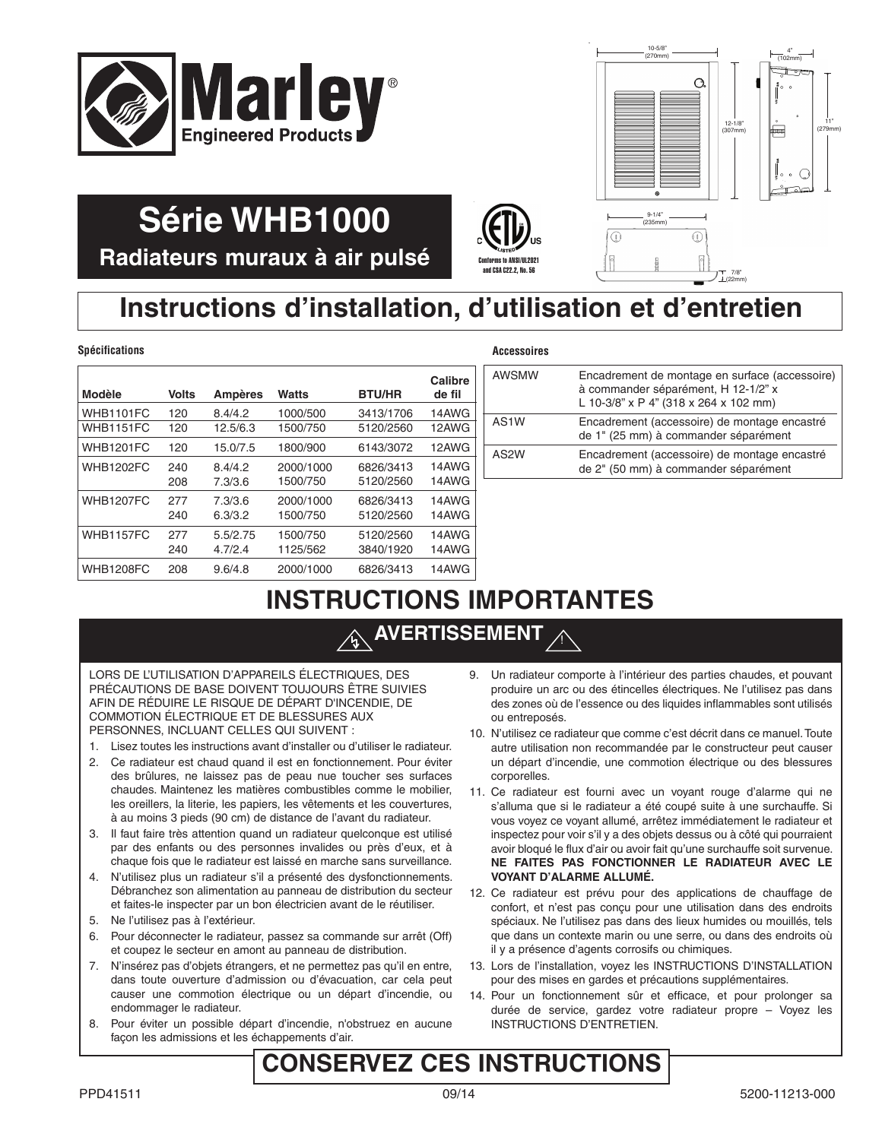



7/8 22mm

**Radiateurs muraux à air pulsé**

**Série WHB1000**

## **Instructions d'installation, d'utilisation et d'entretien**

#### **Spécifications Accessoires**

| <b>Modèle</b>    | <b>Volts</b> | <b>Ampères</b> | <b>Watts</b> | <b>BTU/HR</b> | Calibre<br>de fil |
|------------------|--------------|----------------|--------------|---------------|-------------------|
| WHB1101FC        | 120          | 8.4/4.2        | 1000/500     | 3413/1706     | 14AWG             |
| WHB1151FC        | 120          | 12.5/6.3       | 1500/750     | 5120/2560     | 12AWG             |
| <b>WHB1201FC</b> | 120          | 15.0/7.5       | 1800/900     | 6143/3072     | 12AWG             |
| <b>WHB1202FC</b> | 240          | 8.4/4.2        | 2000/1000    | 6826/3413     | 14AWG             |
|                  | 208          | 7.3/3.6        | 1500/750     | 5120/2560     | 14AWG             |
| <b>WHB1207FC</b> | 277          | 7.3/3.6        | 2000/1000    | 6826/3413     | 14AWG             |
|                  | 240          | 6.3/3.2        | 1500/750     | 5120/2560     | 14AWG             |
| <b>WHB1157FC</b> | 277          | 5.5/2.75       | 1500/750     | 5120/2560     | 14AWG             |
|                  | 240          | 4.7/2.4        | 1125/562     | 3840/1920     | 14AWG             |
| <b>WHB1208FC</b> | 208          | 9.6/4.8        | 2000/1000    | 6826/3413     | 14AWG             |

 $\left(\bigoplus_{\text{Corforms } \text{ to } \text{ANSI/UL2021}}\right)_{\text{US}}$ 

and CSA C22.2, No. 56

!

| AWSMW | Encadrement de montage en surface (accessoire)<br>à commander séparément, H 12-1/2" x<br>L 10-3/8" x P 4" (318 x 264 x 102 mm) |
|-------|--------------------------------------------------------------------------------------------------------------------------------|
| AS1W  | Encadrement (accessoire) de montage encastré<br>de 1" (25 mm) à commander séparément                                           |
| AS2W  | Encadrement (accessoire) de montage encastré<br>de 2" (50 mm) à commander séparément                                           |

## **INSTRUCTIONS IMPORTANTES**

## **AVERTISSEMENT**

LORS DE L'UTILISATION D'APPAREILS ÉLECTRIQUES, DES PRÉCAUTIONS DE BASE DOIVENT TOUJOURS ÊTRE SUIVIES AFIN DE RÉDUIRE LE RISQUE DE DÉPART D'INCENDIE, DE COMMOTION ÉLECTRIQUE ET DE BLESSURES AUX PERSONNES, INCLUANT CELLES QUI SUIVENT :

- 1. Lisez toutes les instructions avant d'installer ou d'utiliser le radiateur.
- 2. Ce radiateur est chaud quand il est en fonctionnement. Pour éviter des brûlures, ne laissez pas de peau nue toucher ses surfaces chaudes. Maintenez les matières combustibles comme le mobilier, les oreillers, la literie, les papiers, les vêtements et les couvertures, à au moins 3 pieds (90 cm) de distance de l'avant du radiateur.
- 3. Il faut faire très attention quand un radiateur quelconque est utilisé par des enfants ou des personnes invalides ou près d'eux, et à chaque fois que le radiateur est laissé en marche sans surveillance.
- 4. N'utilisez plus un radiateur s'il a présenté des dysfonctionnements. Débranchez son alimentation au panneau de distribution du secteur et faites-le inspecter par un bon électricien avant de le réutiliser.
- 5. Ne l'utilisez pas à l'extérieur.
- 6. Pour déconnecter le radiateur, passez sa commande sur arrêt (Off) et coupez le secteur en amont au panneau de distribution.
- 7. N'insérez pas d'objets étrangers, et ne permettez pas qu'il en entre, dans toute ouverture d'admission ou d'évacuation, car cela peut causer une commotion électrique ou un départ d'incendie, ou endommager le radiateur.
- 8. Pour éviter un possible départ d'incendie, n'obstruez en aucune façon les admissions et les échappements d'air.
- 9. Un radiateur comporte à l'intérieur des parties chaudes, et pouvant produire un arc ou des étincelles électriques. Ne l'utilisez pas dans des zones où de l'essence ou des liquides inflammables sont utilisés ou entreposés.
- 10. N'utilisez ce radiateur que comme c'est décrit dans ce manuel.Toute autre utilisation non recommandée par le constructeur peut causer un départ d'incendie, une commotion électrique ou des blessures corporelles.
- 11. Ce radiateur est fourni avec un voyant rouge d'alarme qui ne s'alluma que si le radiateur a été coupé suite à une surchauffe. Si vous voyez ce voyant allumé, arrêtez immédiatement le radiateur et inspectez pour voir s'il y a des objets dessus ou à côté qui pourraient avoir bloqué le flux d'air ou avoir fait qu'une surchauffe soit survenue. **NE FAITES PAS FONCTIONNER LE RADIATEUR AVEC LE VOYANT D'ALARME ALLUMÉ.**
- 12. Ce radiateur est prévu pour des applications de chauffage de confort, et n'est pas conçu pour une utilisation dans des endroits spéciaux. Ne l'utilisez pas dans des lieux humides ou mouillés, tels que dans un contexte marin ou une serre, ou dans des endroits où il y a présence d'agents corrosifs ou chimiques.
- 13. Lors de l'installation, voyez les INSTRUCTIONS D'INSTALLATION pour des mises en gardes et précautions supplémentaires.
- 14. Pour un fonctionnement sûr et efficace, et pour prolonger sa durée de service, gardez votre radiateur propre – Voyez les INSTRUCTIONS D'ENTRETIEN.

## **CONSERVEZ CES INSTRUCTIONS**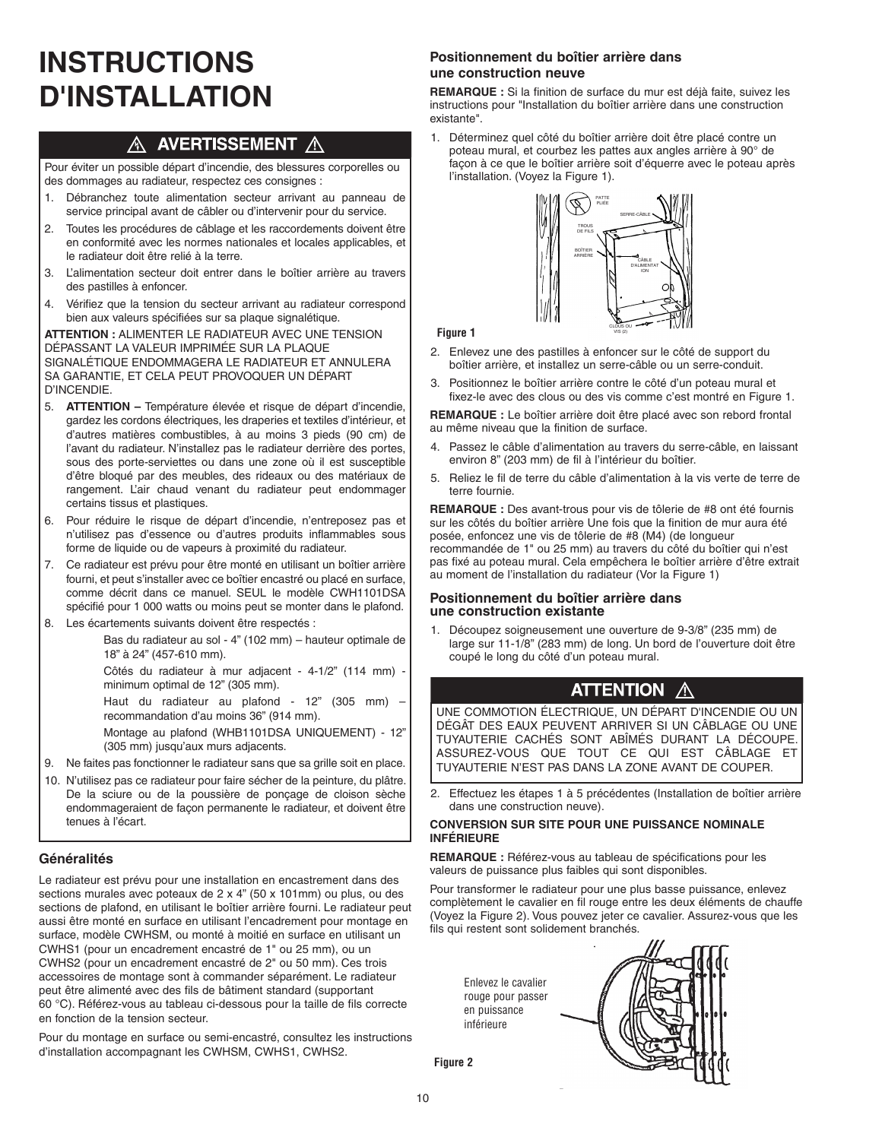# **INSTRUCTIONS D'INSTALLATION**

### A AVERTISSEMENT A

Pour éviter un possible départ d'incendie, des blessures corporelles ou des dommages au radiateur, respectez ces consignes :

- 1. Débranchez toute alimentation secteur arrivant au panneau de service principal avant de câbler ou d'intervenir pour du service.
- 2. Toutes les procédures de câblage et les raccordements doivent être en conformité avec les normes nationales et locales applicables, et le radiateur doit être relié à la terre.
- 3. L'alimentation secteur doit entrer dans le boîtier arrière au travers des pastilles à enfoncer.
- 4. Vérifiez que la tension du secteur arrivant au radiateur correspond bien aux valeurs spécifiées sur sa plaque signalétique.

**ATTENTION :** ALIMENTER LE RADIATEUR AVEC UNE TENSION DÉPASSANT LA VALEUR IMPRIMÉE SUR LA PLAQUE SIGNALÉTIQUE ENDOMMAGERA LE RADIATEUR ET ANNULERA SA GARANTIE, ET CELA PEUT PROVOQUER UN DÉPART D'INCENDIE.

- 
- 5. **ATTENTION –** Température élevée et risque de départ d'incendie, gardez les cordons électriques, les draperies et textiles d'intérieur, et d'autres matières combustibles, à au moins 3 pieds (90 cm) de l'avant du radiateur. N'installez pas le radiateur derrière des portes, sous des porte-serviettes ou dans une zone où il est susceptible d'être bloqué par des meubles, des rideaux ou des matériaux de rangement. L'air chaud venant du radiateur peut endommager certains tissus et plastiques.
- 6. Pour réduire le risque de départ d'incendie, n'entreposez pas et n'utilisez pas d'essence ou d'autres produits inflammables sous forme de liquide ou de vapeurs à proximité du radiateur.
- 7. Ce radiateur est prévu pour être monté en utilisant un boîtier arrière fourni, et peut s'installer avec ce boîtier encastré ou placé en surface, comme décrit dans ce manuel. SEUL le modèle CWH1101DSA spécifié pour 1 000 watts ou moins peut se monter dans le plafond.
- 8. Les écartements suivants doivent être respectés :

Bas du radiateur au sol - 4" (102 mm) – hauteur optimale de 18" à 24" (457-610 mm).

Côtés du radiateur à mur adjacent - 4-1/2" (114 mm) minimum optimal de 12" (305 mm).

Haut du radiateur au plafond - 12" (305 mm) recommandation d'au moins 36" (914 mm).

Montage au plafond (WHB1101DSA UNIQUEMENT) - 12" (305 mm) jusqu'aux murs adjacents.

- 9. Ne faites pas fonctionner le radiateur sans que sa grille soit en place.
- 10. N'utilisez pas ce radiateur pour faire sécher de la peinture, du plâtre. De la sciure ou de la poussière de ponçage de cloison sèche endommageraient de façon permanente le radiateur, et doivent être tenues à l'écart.

### **Généralités**

Le radiateur est prévu pour une installation en encastrement dans des sections murales avec poteaux de 2 x 4" (50 x 101mm) ou plus, ou des sections de plafond, en utilisant le boîtier arrière fourni. Le radiateur peut aussi être monté en surface en utilisant l'encadrement pour montage en surface, modèle CWHSM, ou monté à moitié en surface en utilisant un CWHS1 (pour un encadrement encastré de 1" ou 25 mm), ou un CWHS2 (pour un encadrement encastré de 2" ou 50 mm). Ces trois accessoires de montage sont à commander séparément. Le radiateur peut être alimenté avec des fils de bâtiment standard (supportant 60 °C). Référez-vous au tableau ci-dessous pour la taille de fils correcte en fonction de la tension secteur.

Pour du montage en surface ou semi-encastré, consultez les instructions d'installation accompagnant les CWHSM, CWHS1, CWHS2.

### **Positionnement du boîtier arrière dans une construction neuve**

**REMARQUE :** Si la finition de surface du mur est déjà faite, suivez les instructions pour "Installation du boîtier arrière dans une construction existante".

1. Déterminez quel côté du boîtier arrière doit être placé contre un poteau mural, et courbez les pattes aux angles arrière à 90° de façon à ce que le boîtier arrière soit d'équerre avec le poteau après l'installation. (Voyez la Figure 1).



#### **Figure 1**

- 2. Enlevez une des pastilles à enfoncer sur le côté de support du boîtier arrière, et installez un serre-câble ou un serre-conduit.
- 3. Positionnez le boîtier arrière contre le côté d'un poteau mural et fixez-le avec des clous ou des vis comme c'est montré en Figure 1.

**REMARQUE :** Le boîtier arrière doit être placé avec son rebord frontal au même niveau que la finition de surface.

- 4. Passez le câble d'alimentation au travers du serre-câble, en laissant environ 8" (203 mm) de fil à l'intérieur du boîtier.
- 5. Reliez le fil de terre du câble d'alimentation à la vis verte de terre de terre fournie.

**REMARQUE :** Des avant-trous pour vis de tôlerie de #8 ont été fournis sur les côtés du boîtier arrière Une fois que la finition de mur aura été posée, enfoncez une vis de tôlerie de #8 (M4) (de longueur recommandée de 1" ou 25 mm) au travers du côté du boîtier qui n'est pas fixé au poteau mural. Cela empêchera le boîtier arrière d'être extrait au moment de l'installation du radiateur (Vor la Figure 1)

#### **Positionnement du boîtier arrière dans une construction existante**

Découpez soigneusement une ouverture de 9-3/8" (235 mm) de large sur 11-1/8" (283 mm) de long. Un bord de l'ouverture doit être coupé le long du côté d'un poteau mural.

## **ATTENTION A**

UNE COMMOTION ÉLECTRIQUE, UN DÉPART D'INCENDIE OU UN DÉGÂT DES EAUX PEUVENT ARRIVER SI UN CÂBLAGE OU UNE TUYAUTERIE CACHÉS SONT ABÎMÉS DURANT LA DÉCOUPE. ASSUREz-VOUS QUE TOUT CE QUI EST CÂBLAGE ET TUYAUTERIE N'EST PAS DANS LA zONE AVANT DE COUPER.

2. Effectuez les étapes 1 à 5 précédentes (Installation de boîtier arrière dans une construction neuve).

#### **CONVERSION SUR SITE POUR UNE PUISSANCE NOMINALE INFÉRIEURE**

**REMARQUE :** Référez-vous au tableau de spécifications pour les valeurs de puissance plus faibles qui sont disponibles.

Pour transformer le radiateur pour une plus basse puissance, enlevez complètement le cavalier en fil rouge entre les deux éléments de chauffe (Voyez la Figure 2). Vous pouvez jeter ce cavalier. Assurez-vous que les fils qui restent sont solidement branchés.

Enlevez le cavalier rouge pour passer en puissance inférieure



**Figure 2**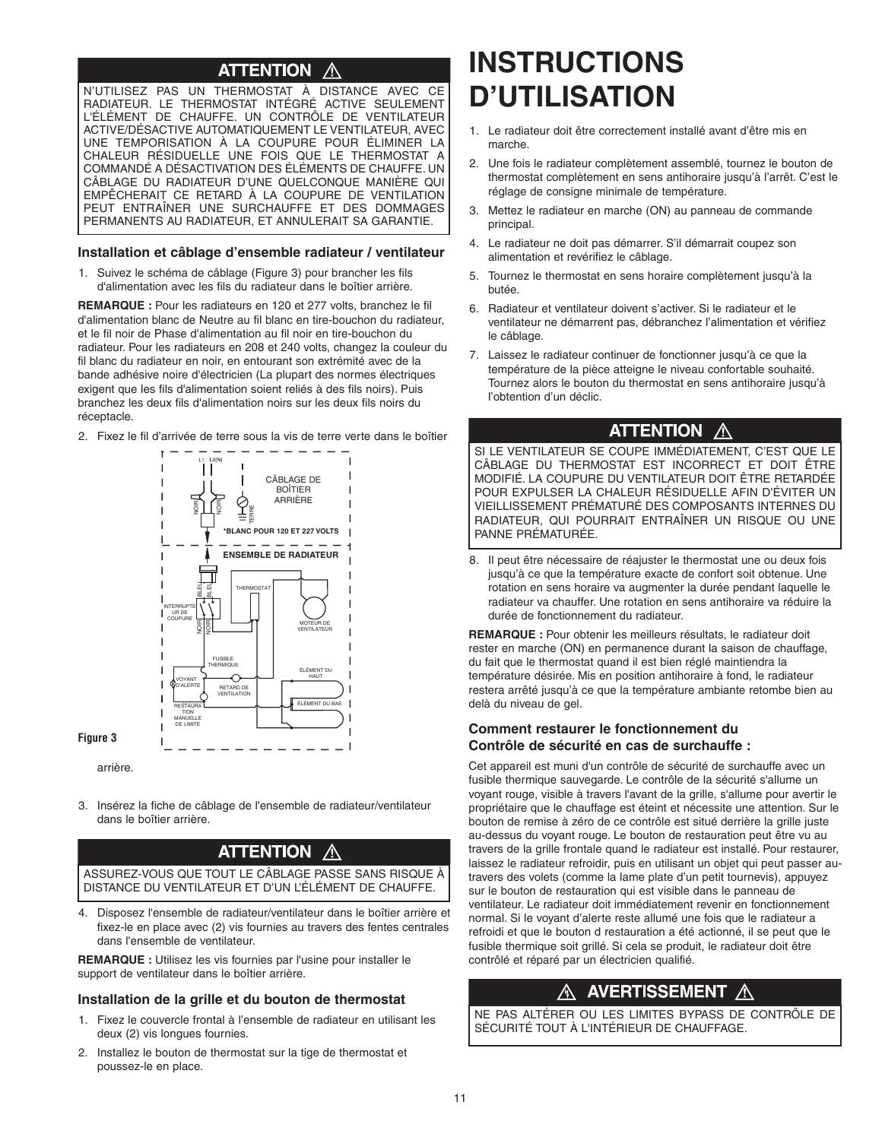#### **ATTENTION** Λ

N'UTILISEz PAS UN THERMOSTAT À DISTANCE AVEC CE RADIATEUR. LE THERMOSTAT INTÉGRÉ ACTIVE SEULEMENT L'ÉLÉMENT DE CHAUFFE. UN CONTRÔLE DE VENTILATEUR ACTIVE/DÉSACTIVE AUTOMATIQUEMENT LE VENTILATEUR, AVEC UNE TEMPORISATION À LA COUPURE POUR ÉLIMINER LA CHALEUR RÉSIDUELLE UNE FOIS QUE LE THERMOSTAT A COMMANDÉ A DÉSACTIVATION DES ÉLÉMENTS DE CHAUFFE. UN CÂBLAGE DU RADIATEUR D'UNE QUELCONQUE MANIÈRE QUI EMPÊCHERAIT CE RETARD À LA COUPURE DE VENTILATION PEUT ENTRAÎNER UNE SURCHAUFFE ET DES DOMMAGES PERMANENTS AU RADIATEUR, ET ANNULERAIT SA GARANTIE.

#### **Installation et câblage d'ensemble radiateur / ventilateur**

1. Suivez le schéma de câblage (Figure 3) pour brancher les fils d'alimentation avec les fils du radiateur dans le boîtier arrière.

**REMARQUE :** Pour les radiateurs en 120 et 277 volts, branchez le fil d'alimentation blanc de Neutre au fil blanc en tire-bouchon du radiateur, et le fil noir de Phase d'alimentation au fil noir en tire-bouchon du radiateur. Pour les radiateurs en 208 et 240 volts, changez la couleur du fil blanc du radiateur en noir, en entourant son extrémité avec de la bande adhésive noire d'électricien (La plupart des normes électriques exigent que les fils d'alimentation soient reliés à des fils noirs). Puis branchez les deux fils d'alimentation noirs sur les deux fils noirs du réceptacle.

2. Fixez le fil d'arrivée de terre sous la vis de terre verte dans le boîtier



arrière.

**Figure 3**

3. Insérez la fiche de câblage de l'ensemble de radiateur/ventilateur dans le boîtier arrière.

#### **ATTENTION** Λ

ASSUREz-VOUS QUE TOUT LE CÂBLAGE PASSE SANS RISQUE À DISTANCE DU VENTILATEUR ET D'UN L'ÉLÉMENT DE CHAUFFE.

4. Disposez l'ensemble de radiateur/ventilateur dans le boîtier arrière et fixez-le en place avec (2) vis fournies au travers des fentes centrales dans l'ensemble de ventilateur.

**REMARQUE :** Utilisez les vis fournies par l'usine pour installer le support de ventilateur dans le boîtier arrière.

#### **Installation de la grille et du bouton de thermostat**

- 1. Fixez le couvercle frontal à l'ensemble de radiateur en utilisant les deux (2) vis longues fournies.
- 2. Installez le bouton de thermostat sur la tige de thermostat et poussez-le en place.

# **INSTRUCTIONS D'UTILISATION**

- 1. Le radiateur doit être correctement installé avant d'être mis en marche.
- 2. Une fois le radiateur complètement assemblé, tournez le bouton de thermostat complètement en sens antihoraire jusqu'à l'arrêt. C'est le réglage de consigne minimale de température.
- 3. Mettez le radiateur en marche (ON) au panneau de commande principal.
- 4. Le radiateur ne doit pas démarrer. S'il démarrait coupez son alimentation et revérifiez le câblage.
- 5. Tournez le thermostat en sens horaire complètement jusqu'à la butée.
- 6. Radiateur et ventilateur doivent s'activer. Si le radiateur et le ventilateur ne démarrent pas, débranchez l'alimentation et vérifiez le câblage.
- 7. Laissez le radiateur continuer de fonctionner jusqu'à ce que la température de la pièce atteigne le niveau confortable souhaité. Tournez alors le bouton du thermostat en sens antihoraire jusqu'à l'obtention d'un déclic.

### **ATTENTION A**

SI LE VENTILATEUR SE COUPE IMMÉDIATEMENT, C'EST QUE LE CÂBLAGE DU THERMOSTAT EST INCORRECT ET DOIT ÊTRE MODIFIÉ. LA COUPURE DU VENTILATEUR DOIT ÊTRE RETARDÉE POUR EXPULSER LA CHALEUR RÉSIDUELLE AFIN D'ÉVITER UN VIEILLISSEMENT PRÉMATURÉ DES COMPOSANTS INTERNES DU RADIATEUR, QUI POURRAIT ENTRAÎNER UN RISQUE OU UNE PANNE PRÉMATURÉE.

8. Il peut être nécessaire de réajuster le thermostat une ou deux fois jusqu'à ce que la température exacte de confort soit obtenue. Une rotation en sens horaire va augmenter la durée pendant laquelle le radiateur va chauffer. Une rotation en sens antihoraire va réduire la durée de fonctionnement du radiateur.

**REMARQUE :** Pour obtenir les meilleurs résultats, le radiateur doit rester en marche (ON) en permanence durant la saison de chauffage, du fait que le thermostat quand il est bien réglé maintiendra la température désirée. Mis en position antihoraire à fond, le radiateur restera arrêté jusqu'à ce que la température ambiante retombe bien au delà du niveau de gel.

#### **Comment restaurer le fonctionnement du Contrôle de sécurité en cas de surchauffe :**

Cet appareil est muni d'un contrôle de sécurité de surchauffe avec un fusible thermique sauvegarde. Le contrôle de la sécurité s'allume un voyant rouge, visible à travers l'avant de la grille, s'allume pour avertir le propriétaire que le chauffage est éteint et nécessite une attention. Sur le bouton de remise à zéro de ce contrôle est situé derrière la grille juste au-dessus du voyant rouge. Le bouton de restauration peut être vu au travers de la grille frontale quand le radiateur est installé. Pour restaurer, laissez le radiateur refroidir, puis en utilisant un objet qui peut passer autravers des volets (comme la lame plate d'un petit tournevis), appuyez sur le bouton de restauration qui est visible dans le panneau de ventilateur. Le radiateur doit immédiatement revenir en fonctionnement normal. Si le voyant d'alerte reste allumé une fois que le radiateur a refroidi et que le bouton d restauration a été actionné, il se peut que le fusible thermique soit grillé. Si cela se produit, le radiateur doit être contrôlé et réparé par un électricien qualifié.

#### **AVERTISSEMENT A** Л

NE PAS ALTÉRER OU LES LIMITES BYPASS DE CONTRÔLE DE SÉCURITÉ TOUT À L'INTÉRIEUR DE CHAUFFAGE.